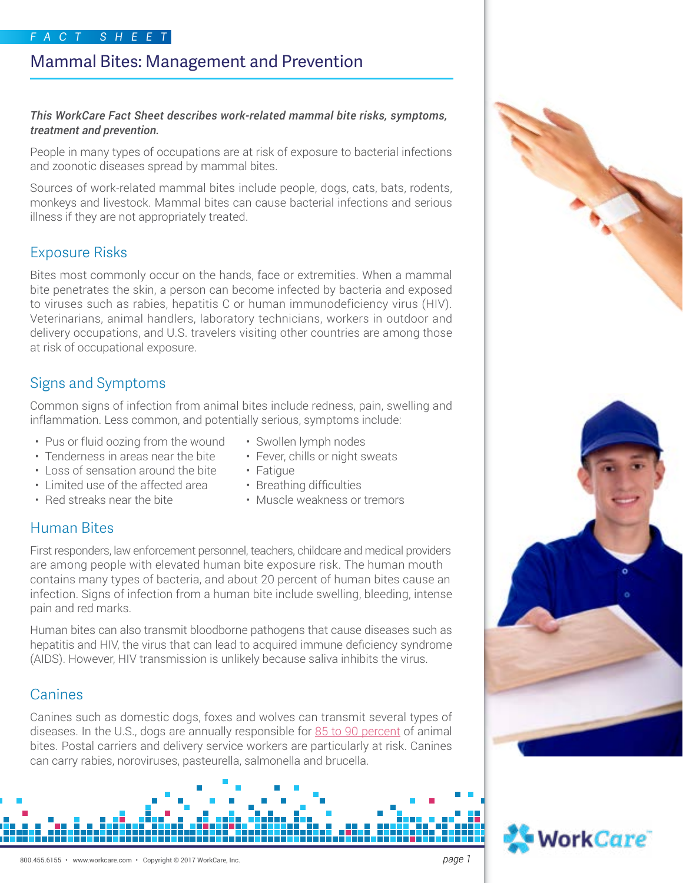# Mammal Bites: Management and Prevention

#### *This WorkCare Fact Sheet describes work-related mammal bite risks, symptoms, treatment and prevention.*

People in many types of occupations are at risk of exposure to bacterial infections and zoonotic diseases spread by mammal bites.

Sources of work-related mammal bites include people, dogs, cats, bats, rodents, monkeys and livestock. Mammal bites can cause bacterial infections and serious illness if they are not appropriately treated.

# Exposure Risks

Bites most commonly occur on the hands, face or extremities. When a mammal bite penetrates the skin, a person can become infected by bacteria and exposed to viruses such as rabies, hepatitis C or human immunodeficiency virus (HIV). Veterinarians, animal handlers, laboratory technicians, workers in outdoor and delivery occupations, and U.S. travelers visiting other countries are among those at risk of occupational exposure.

# Signs and Symptoms

Common signs of infection from animal bites include redness, pain, swelling and inflammation. Less common, and potentially serious, symptoms include:

- Pus or fluid oozing from the wound
- Tenderness in areas near the bite
- Loss of sensation around the bite
- Limited use of the affected area
- Red streaks near the bite
- Swollen lymph nodes
- Fever, chills or night sweats
- Fatigue
- Breathing difficulties
- Muscle weakness or tremors

# Human Bites

First responders, law enforcement personnel, teachers, childcare and medical providers are among people with elevated human bite exposure risk. The human mouth contains many types of bacteria, and about 20 percent of human bites cause an infection. Signs of infection from a human bite include swelling, bleeding, intense pain and red marks.

Human bites can also transmit bloodborne pathogens that cause diseases such as hepatitis and HIV, the virus that can lead to acquired immune deficiency syndrome (AIDS). However, HIV transmission is unlikely because saliva inhibits the virus.

# Canines

Canines such as domestic dogs, foxes and wolves can transmit several types of diseases. In the U.S., dogs are annually responsible for [85 to 90 percent](http://www.aafp.org/afp/2014/0815/p239.html) of animal bites. Postal carriers and delivery service workers are particularly at risk. Canines can carry rabies, noroviruses, pasteurella, salmonella and brucella.





WorkCare<sup>.</sup>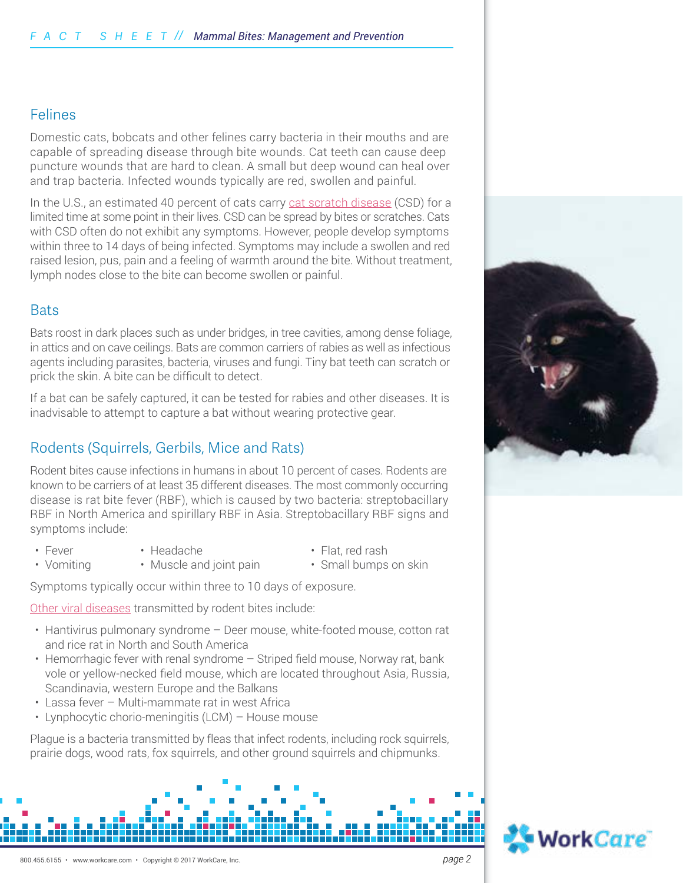#### Felines

Domestic cats, bobcats and other felines carry bacteria in their mouths and are capable of spreading disease through bite wounds. Cat teeth can cause deep puncture wounds that are hard to clean. A small but deep wound can heal over and trap bacteria. Infected wounds typically are red, swollen and painful.

In the U.S., an estimated 40 percent of cats carry [cat scratch disease](https://www.cdc.gov/healthypets/diseases/cat-scratch.html) (CSD) for a limited time at some point in their lives. CSD can be spread by bites or scratches. Cats with CSD often do not exhibit any symptoms. However, people develop symptoms within three to 14 days of being infected. Symptoms may include a swollen and red raised lesion, pus, pain and a feeling of warmth around the bite. Without treatment, lymph nodes close to the bite can become swollen or painful.

#### **Bats**

Bats roost in dark places such as under bridges, in tree cavities, among dense foliage, in attics and on cave ceilings. Bats are common carriers of rabies as well as infectious agents including parasites, bacteria, viruses and fungi. Tiny bat teeth can scratch or prick the skin. A bite can be difficult to detect.

If a bat can be safely captured, it can be tested for rabies and other diseases. It is inadvisable to attempt to capture a bat without wearing protective gear.

## Rodents (Squirrels, Gerbils, Mice and Rats)

Rodent bites cause infections in humans in about 10 percent of cases. Rodents are known to be carriers of at least 35 different diseases. The most commonly occurring disease is rat bite fever (RBF), which is caused by two bacteria: streptobacillary RBF in North America and spirillary RBF in Asia. Streptobacillary RBF signs and symptoms include:

- Fever • Headache
- Vomiting
- 

• Flat, red rash

- 
- Muscle and joint pain
- Small bumps on skin

Symptoms typically occur within three to 10 days of exposure.

[Other viral diseases](https://www.cdc.gov/rodents/diseases/direct.html) transmitted by rodent bites include:

- Hantivirus pulmonary syndrome Deer mouse, white-footed mouse, cotton rat and rice rat in North and South America
- Hemorrhagic fever with renal syndrome Striped field mouse, Norway rat, bank vole or yellow-necked field mouse, which are located throughout Asia, Russia, Scandinavia, western Europe and the Balkans
- Lassa fever Multi-mammate rat in west Africa
- Lynphocytic chorio-meningitis (LCM) House mouse

Plague is a bacteria transmitted by fleas that infect rodents, including rock squirrels, prairie dogs, wood rats, fox squirrels, and other ground squirrels and chipmunks.



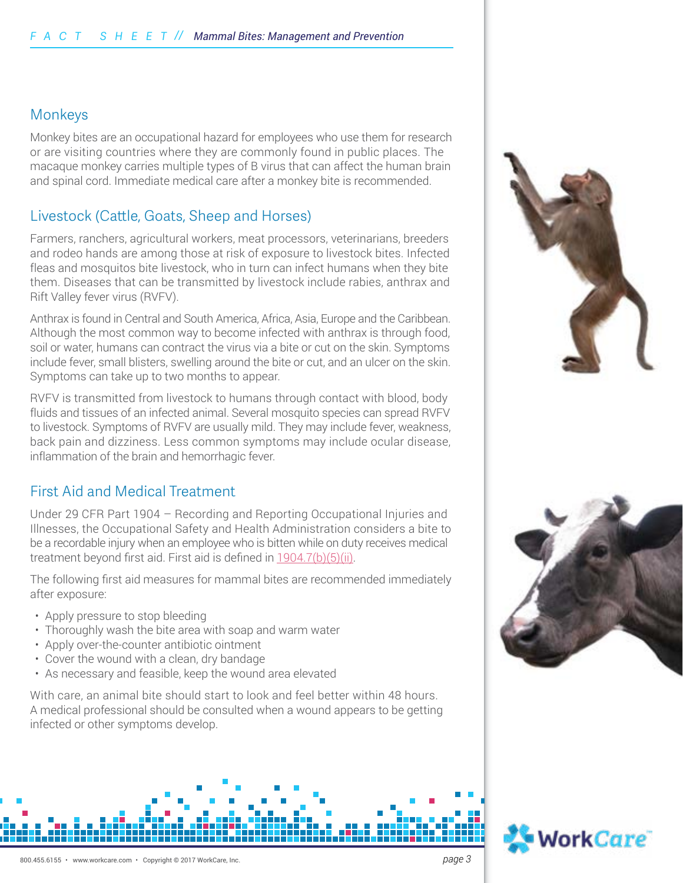### Monkeys

Monkey bites are an occupational hazard for employees who use them for research or are visiting countries where they are commonly found in public places. The macaque monkey carries multiple types of B virus that can affect the human brain and spinal cord. Immediate medical care after a monkey bite is recommended.

## Livestock (Cattle, Goats, Sheep and Horses)

Farmers, ranchers, agricultural workers, meat processors, veterinarians, breeders and rodeo hands are among those at risk of exposure to livestock bites. Infected fleas and mosquitos bite livestock, who in turn can infect humans when they bite them. Diseases that can be transmitted by livestock include rabies, anthrax and Rift Valley fever virus (RVFV).

Anthrax is found in Central and South America, Africa, Asia, Europe and the Caribbean. Although the most common way to become infected with anthrax is through food, soil or water, humans can contract the virus via a bite or cut on the skin. Symptoms include fever, small blisters, swelling around the bite or cut, and an ulcer on the skin. Symptoms can take up to two months to appear.

RVFV is transmitted from livestock to humans through contact with blood, body fluids and tissues of an infected animal. Several mosquito species can spread RVFV to livestock. Symptoms of RVFV are usually mild. They may include fever, weakness, back pain and dizziness. Less common symptoms may include ocular disease, inflammation of the brain and hemorrhagic fever.

### First Aid and Medical Treatment

Under 29 CFR Part 1904 – Recording and Reporting Occupational Injuries and Illnesses, the Occupational Safety and Health Administration considers a bite to be a recordable injury when an employee who is bitten while on duty receives medical treatment beyond first aid. First aid is defined in [1904.7\(b\)\(5\)\(ii\).](https://www.osha.gov/recordkeeping/firstaid_list.pdf)

The following first aid measures for mammal bites are recommended immediately after exposure:

- Apply pressure to stop bleeding
- Thoroughly wash the bite area with soap and warm water
- Apply over-the-counter antibiotic ointment
- Cover the wound with a clean, dry bandage
- As necessary and feasible, keep the wound area elevated

With care, an animal bite should start to look and feel better within 48 hours. A medical professional should be consulted when a wound appears to be getting infected or other symptoms develop.